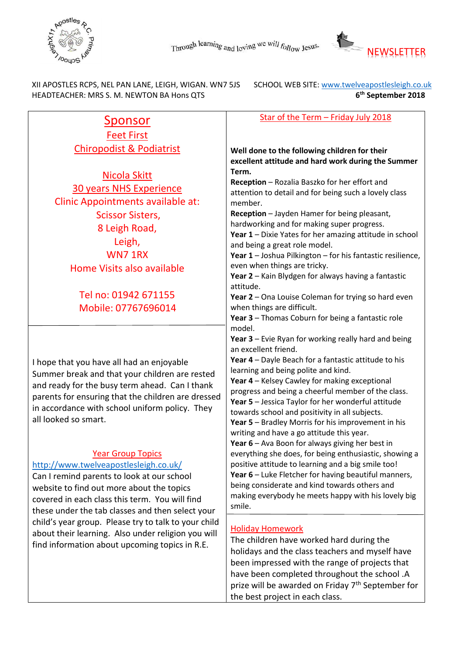



 XII APOSTLES RCPS, NEL PAN LANE, LEIGH, WIGAN. WN7 5JS SCHOOL WEB SITE[: www.twelveapostlesleigh.co.uk](http://www.twelveapostlesleigh.co.uk/)  HEADTEACHER: MRS S. M. NEWTON BA Hons QTS **6**

**th September 2018** 

Sponsor Feet First Chiropodist & Podiatrist Nicola Skitt 30 years NHS Experience Clinic Appointments available at: Scissor Sisters, 8 Leigh Road, Leigh, WN7 1RX Home Visits also available Tel no: 01942 671155 Mobile: 07767696014 I hope that you have all had an enjoyable Summer break and that your children are rested and ready for the busy term ahead. Can I thank parents for ensuring that the children are dressed in accordance with school uniform policy. They all looked so smart. Year Group Topics <http://www.twelveapostlesleigh.co.uk/> Can I remind parents to look at our school website to find out more about the topics covered in each class this term. You will find these under the tab classes and then select your child's year group. Please try to talk to your child about their learning. Also under religion you will find information about upcoming topics in R.E. Star of the Term – Friday July 2018 **Well done to the following children for their excellent attitude and hard work during the Summer Term. Reception** – Rozalia Baszko for her effort and attention to detail and for being such a lovely class member. **Reception** – Jayden Hamer for being pleasant, hardworking and for making super progress. **Year 1** – Dixie Yates for her amazing attitude in school and being a great role model. **Year 1** – Joshua Pilkington – for his fantastic resilience, even when things are tricky. **Year 2** – Kain Blydgen for always having a fantastic attitude. **Year 2** – Ona Louise Coleman for trying so hard even when things are difficult. **Year 3** – Thomas Coburn for being a fantastic role model. **Year 3** – Evie Ryan for working really hard and being an excellent friend. **Year 4** – Dayle Beach for a fantastic attitude to his learning and being polite and kind. **Year 4** – Kelsey Cawley for making exceptional progress and being a cheerful member of the class. **Year 5** – Jessica Taylor for her wonderful attitude towards school and positivity in all subjects. **Year 5** – Bradley Morris for his improvement in his writing and have a go attitude this year. **Year 6** – Ava Boon for always giving her best in everything she does, for being enthusiastic, showing a positive attitude to learning and a big smile too! **Year 6** – Luke Fletcher for having beautiful manners, being considerate and kind towards others and making everybody he meets happy with his lovely big smile. Holiday Homework The children have worked hard during the holidays and the class teachers and myself have been impressed with the range of projects that have been completed throughout the school .A prize will be awarded on Friday 7<sup>th</sup> September for

the best project in each class.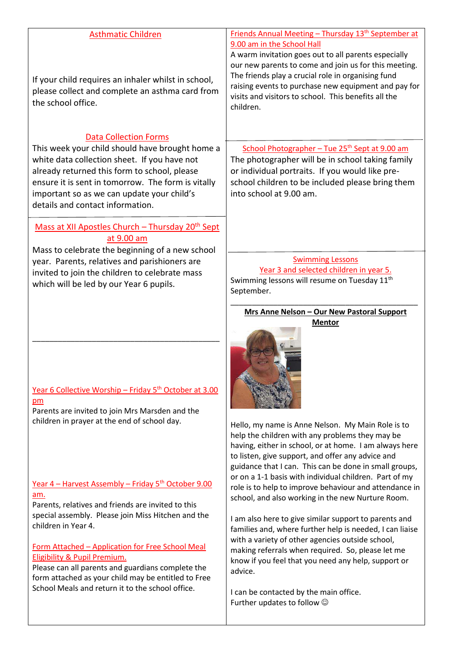| <b>Asthmatic Children</b>                                                                                                                                                                                                                                                                                                                                                                | Friends Annual Meeting - Thursday 13 <sup>th</sup> September at<br>9.00 am in the School Hall                                                                                                                                                                                                                                                                                                                                                                                                                                                                                                                                              |
|------------------------------------------------------------------------------------------------------------------------------------------------------------------------------------------------------------------------------------------------------------------------------------------------------------------------------------------------------------------------------------------|--------------------------------------------------------------------------------------------------------------------------------------------------------------------------------------------------------------------------------------------------------------------------------------------------------------------------------------------------------------------------------------------------------------------------------------------------------------------------------------------------------------------------------------------------------------------------------------------------------------------------------------------|
| If your child requires an inhaler whilst in school,<br>please collect and complete an asthma card from<br>the school office.                                                                                                                                                                                                                                                             | A warm invitation goes out to all parents especially<br>our new parents to come and join us for this meeting.<br>The friends play a crucial role in organising fund<br>raising events to purchase new equipment and pay for<br>visits and visitors to school. This benefits all the<br>children.                                                                                                                                                                                                                                                                                                                                           |
| <b>Data Collection Forms</b><br>This week your child should have brought home a<br>white data collection sheet. If you have not<br>already returned this form to school, please<br>ensure it is sent in tomorrow. The form is vitally<br>important so as we can update your child's<br>details and contact information.<br>Mass at XII Apostles Church - Thursday 20 <sup>th</sup> Sept  | School Photographer - Tue 25 <sup>th</sup> Sept at 9.00 am<br>The photographer will be in school taking family<br>or individual portraits. If you would like pre-<br>school children to be included please bring them<br>into school at 9.00 am.                                                                                                                                                                                                                                                                                                                                                                                           |
| at 9.00 am                                                                                                                                                                                                                                                                                                                                                                               |                                                                                                                                                                                                                                                                                                                                                                                                                                                                                                                                                                                                                                            |
| Mass to celebrate the beginning of a new school<br>year. Parents, relatives and parishioners are<br>invited to join the children to celebrate mass<br>which will be led by our Year 6 pupils.                                                                                                                                                                                            | <b>Swimming Lessons</b><br>Year 3 and selected children in year 5.<br>Swimming lessons will resume on Tuesday 11 <sup>th</sup><br>September.                                                                                                                                                                                                                                                                                                                                                                                                                                                                                               |
| Year 6 Collective Worship - Friday 5 <sup>th</sup> October at 3.00<br>pm<br>Parents are invited to join Mrs Marsden and the<br>children in prayer at the end of school day.<br>Year 4 - Harvest Assembly - Friday 5 <sup>th</sup> October 9.00<br>am.<br>Parents, relatives and friends are invited to this<br>special assembly. Please join Miss Hitchen and the<br>children in Year 4. | Mrs Anne Nelson - Our New Pastoral Support<br><b>Mentor</b><br>Hello, my name is Anne Nelson. My Main Role is to<br>help the children with any problems they may be<br>having, either in school, or at home. I am always here<br>to listen, give support, and offer any advice and<br>guidance that I can. This can be done in small groups,<br>or on a 1-1 basis with individual children. Part of my<br>role is to help to improve behaviour and attendance in<br>school, and also working in the new Nurture Room.<br>I am also here to give similar support to parents and<br>families and, where further help is needed, I can liaise |
| Form Attached - Application for Free School Meal<br><b>Eligibility &amp; Pupil Premium.</b><br>Please can all parents and guardians complete the<br>form attached as your child may be entitled to Free<br>School Meals and return it to the school office.                                                                                                                              | with a variety of other agencies outside school,<br>making referrals when required. So, please let me<br>know if you feel that you need any help, support or<br>advice.<br>I can be contacted by the main office.<br>Further updates to follow $\odot$                                                                                                                                                                                                                                                                                                                                                                                     |